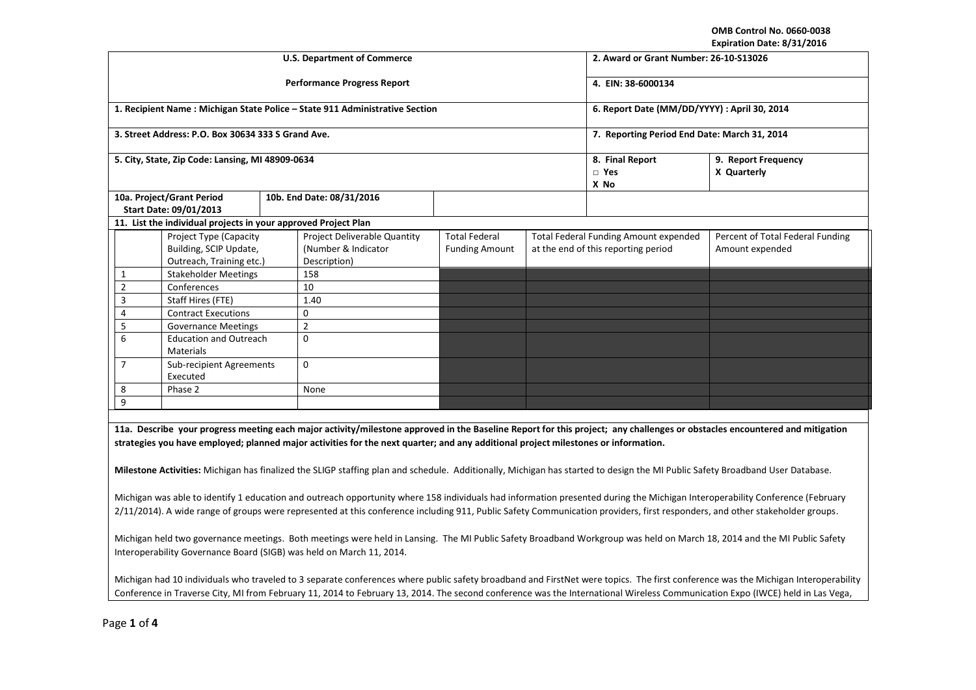**OMB Control No. 0660-0038 Expiration Date: 8/31/2016** 

| Expiration Date: 8/31/2016                                                                                                                                                                                                                                                                                                                                   |                                                                |  |                                                                             |                                              |                                          |                                              |                                                                                                                                                                            |  |  |
|--------------------------------------------------------------------------------------------------------------------------------------------------------------------------------------------------------------------------------------------------------------------------------------------------------------------------------------------------------------|----------------------------------------------------------------|--|-----------------------------------------------------------------------------|----------------------------------------------|------------------------------------------|----------------------------------------------|----------------------------------------------------------------------------------------------------------------------------------------------------------------------------|--|--|
|                                                                                                                                                                                                                                                                                                                                                              |                                                                |  | <b>U.S. Department of Commerce</b>                                          | 2. Award or Grant Number: 26-10-S13026       |                                          |                                              |                                                                                                                                                                            |  |  |
|                                                                                                                                                                                                                                                                                                                                                              |                                                                |  | <b>Performance Progress Report</b>                                          | 4. EIN: 38-6000134                           |                                          |                                              |                                                                                                                                                                            |  |  |
|                                                                                                                                                                                                                                                                                                                                                              |                                                                |  | 1. Recipient Name: Michigan State Police - State 911 Administrative Section | 6. Report Date (MM/DD/YYYY) : April 30, 2014 |                                          |                                              |                                                                                                                                                                            |  |  |
|                                                                                                                                                                                                                                                                                                                                                              | 3. Street Address: P.O. Box 30634 333 S Grand Ave.             |  |                                                                             | 7. Reporting Period End Date: March 31, 2014 |                                          |                                              |                                                                                                                                                                            |  |  |
|                                                                                                                                                                                                                                                                                                                                                              | 5. City, State, Zip Code: Lansing, MI 48909-0634               |  |                                                                             |                                              | 8. Final Report<br>$\square$ Yes<br>X No | 9. Report Frequency<br>X Quarterly           |                                                                                                                                                                            |  |  |
|                                                                                                                                                                                                                                                                                                                                                              | 10a. Project/Grant Period                                      |  | 10b. End Date: 08/31/2016                                                   |                                              |                                          |                                              |                                                                                                                                                                            |  |  |
|                                                                                                                                                                                                                                                                                                                                                              | Start Date: 09/01/2013                                         |  |                                                                             |                                              |                                          |                                              |                                                                                                                                                                            |  |  |
|                                                                                                                                                                                                                                                                                                                                                              | 11. List the individual projects in your approved Project Plan |  |                                                                             |                                              |                                          |                                              |                                                                                                                                                                            |  |  |
|                                                                                                                                                                                                                                                                                                                                                              | Project Type (Capacity                                         |  | Project Deliverable Quantity                                                | <b>Total Federal</b>                         |                                          | <b>Total Federal Funding Amount expended</b> | Percent of Total Federal Funding                                                                                                                                           |  |  |
|                                                                                                                                                                                                                                                                                                                                                              | Building, SCIP Update,                                         |  | (Number & Indicator                                                         | <b>Funding Amount</b>                        |                                          | at the end of this reporting period          | Amount expended                                                                                                                                                            |  |  |
|                                                                                                                                                                                                                                                                                                                                                              | Outreach, Training etc.)                                       |  | Description)                                                                |                                              |                                          |                                              |                                                                                                                                                                            |  |  |
| $\mathbf{1}$                                                                                                                                                                                                                                                                                                                                                 | <b>Stakeholder Meetings</b>                                    |  | 158                                                                         |                                              |                                          |                                              |                                                                                                                                                                            |  |  |
| $\overline{2}$                                                                                                                                                                                                                                                                                                                                               | Conferences                                                    |  | 10                                                                          |                                              |                                          |                                              |                                                                                                                                                                            |  |  |
| $\overline{3}$                                                                                                                                                                                                                                                                                                                                               | Staff Hires (FTE)                                              |  | 1.40                                                                        |                                              |                                          |                                              |                                                                                                                                                                            |  |  |
| 4                                                                                                                                                                                                                                                                                                                                                            | <b>Contract Executions</b>                                     |  | 0                                                                           |                                              |                                          |                                              |                                                                                                                                                                            |  |  |
| 5                                                                                                                                                                                                                                                                                                                                                            | <b>Governance Meetings</b>                                     |  | $\overline{2}$                                                              |                                              |                                          |                                              |                                                                                                                                                                            |  |  |
| 6                                                                                                                                                                                                                                                                                                                                                            | <b>Education and Outreach</b><br>Materials                     |  | $\Omega$                                                                    |                                              |                                          |                                              |                                                                                                                                                                            |  |  |
| $\overline{7}$                                                                                                                                                                                                                                                                                                                                               | Sub-recipient Agreements<br>Executed                           |  | $\mathbf 0$                                                                 |                                              |                                          |                                              |                                                                                                                                                                            |  |  |
| 8                                                                                                                                                                                                                                                                                                                                                            | Phase 2                                                        |  | None                                                                        |                                              |                                          |                                              |                                                                                                                                                                            |  |  |
| 9                                                                                                                                                                                                                                                                                                                                                            |                                                                |  |                                                                             |                                              |                                          |                                              |                                                                                                                                                                            |  |  |
|                                                                                                                                                                                                                                                                                                                                                              |                                                                |  |                                                                             |                                              |                                          |                                              |                                                                                                                                                                            |  |  |
|                                                                                                                                                                                                                                                                                                                                                              |                                                                |  |                                                                             |                                              |                                          |                                              | 11a. Describe your progress meeting each major activity/milestone approved in the Baseline Report for this project; any challenges or obstacles encountered and mitigation |  |  |
| strategies you have employed; planned major activities for the next quarter; and any additional project milestones or information.                                                                                                                                                                                                                           |                                                                |  |                                                                             |                                              |                                          |                                              |                                                                                                                                                                            |  |  |
| Milestone Activities: Michigan has finalized the SLIGP staffing plan and schedule. Additionally, Michigan has started to design the MI Public Safety Broadband User Database.                                                                                                                                                                                |                                                                |  |                                                                             |                                              |                                          |                                              |                                                                                                                                                                            |  |  |
| Michigan was able to identify 1 education and outreach opportunity where 158 individuals had information presented during the Michigan Interoperability Conference (February<br>2/11/2014). A wide range of groups were represented at this conference including 911, Public Safety Communication providers, first responders, and other stakeholder groups. |                                                                |  |                                                                             |                                              |                                          |                                              |                                                                                                                                                                            |  |  |
| Michigan held two governance meetings. Both meetings were held in Lansing. The MI Public Safety Broadband Workgroup was held on March 18, 2014 and the MI Public Safety<br>Interoperability Governance Board (SIGB) was held on March 11, 2014.                                                                                                              |                                                                |  |                                                                             |                                              |                                          |                                              |                                                                                                                                                                            |  |  |

Michigan had 10 individuals who traveled to 3 separate conferences where public safety broadband and FirstNet were topics. The first conference was the Michigan Interoperability Conference in Traverse City, MI from February 11, 2014 to February 13, 2014. The second conference was the International Wireless Communication Expo (IWCE) held in Las Vega,

Page **1** of **4**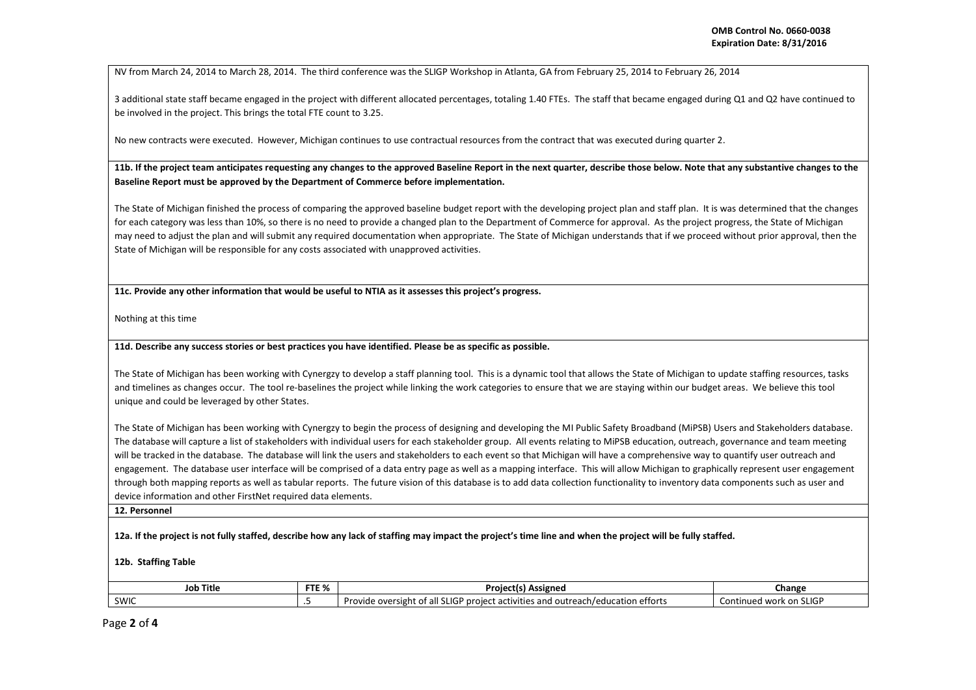NV from March 24, 2014 to March 28, 2014. The third conference was the SLIGP Workshop in Atlanta, GA from February 25, 2014 to February 26, 2014

3 additional state staff became engaged in the project with different allocated percentages, totaling 1.40 FTEs. The staff that became engaged during Q1 and Q2 have continued to be involved in the project. This brings the total FTE count to 3.25.

No new contracts were executed. However, Michigan continues to use contractual resources from the contract that was executed during quarter 2.

**11b. If the project team anticipates requesting any changes to the approved Baseline Report in the next quarter, describe those below. Note that any substantive changes to the Baseline Report must be approved by the Department of Commerce before implementation.** 

The State of Michigan finished the process of comparing the approved baseline budget report with the developing project plan and staff plan. It is was determined that the changes for each category was less than 10%, so there is no need to provide a changed plan to the Department of Commerce for approval. As the project progress, the State of Michigan may need to adjust the plan and will submit any required documentation when appropriate. The State of Michigan understands that if we proceed without prior approval, then the State of Michigan will be responsible for any costs associated with unapproved activities.

**11c. Provide any other information that would be useful to NTIA as it assesses this project's progress.** 

Nothing at this time

**11d. Describe any success stories or best practices you have identified. Please be as specific as possible.**

The State of Michigan has been working with Cynergzy to develop a staff planning tool. This is a dynamic tool that allows the State of Michigan to update staffing resources, tasks and timelines as changes occur. The tool re-baselines the project while linking the work categories to ensure that we are staying within our budget areas. We believe this tool unique and could be leveraged by other States.

The State of Michigan has been working with Cynergzy to begin the process of designing and developing the MI Public Safety Broadband (MiPSB) Users and Stakeholders database. The database will capture a list of stakeholders with individual users for each stakeholder group. All events relating to MiPSB education, outreach, governance and team meeting will be tracked in the database. The database will link the users and stakeholders to each event so that Michigan will have a comprehensive way to quantify user outreach and engagement. The database user interface will be comprised of a data entry page as well as a mapping interface. This will allow Michigan to graphically represent user engagement through both mapping reports as well as tabular reports. The future vision of this database is to add data collection functionality to inventory data components such as user and device information and other FirstNet required data elements.

**12. Personnel** 

**12a. If the project is not fully staffed, describe how any lack of staffing may impact the project's time line and when the project will be fully staffed.** 

**12b. Staffing Table** 

| <b>CTC O</b><br><b>Job Title</b><br>" I E 70 |                          | <b>Assigned</b><br>Projectis.                                                                                      | Change                        |
|----------------------------------------------|--------------------------|--------------------------------------------------------------------------------------------------------------------|-------------------------------|
| SWIC                                         | $\overline{\phantom{0}}$ | LIGP<br>education efforts<br>1225<br>, project activities and $\cdot$<br>. outrer<br>oversight<br>rovide<br>each/6 | ed work on SLIGP<br>Continued |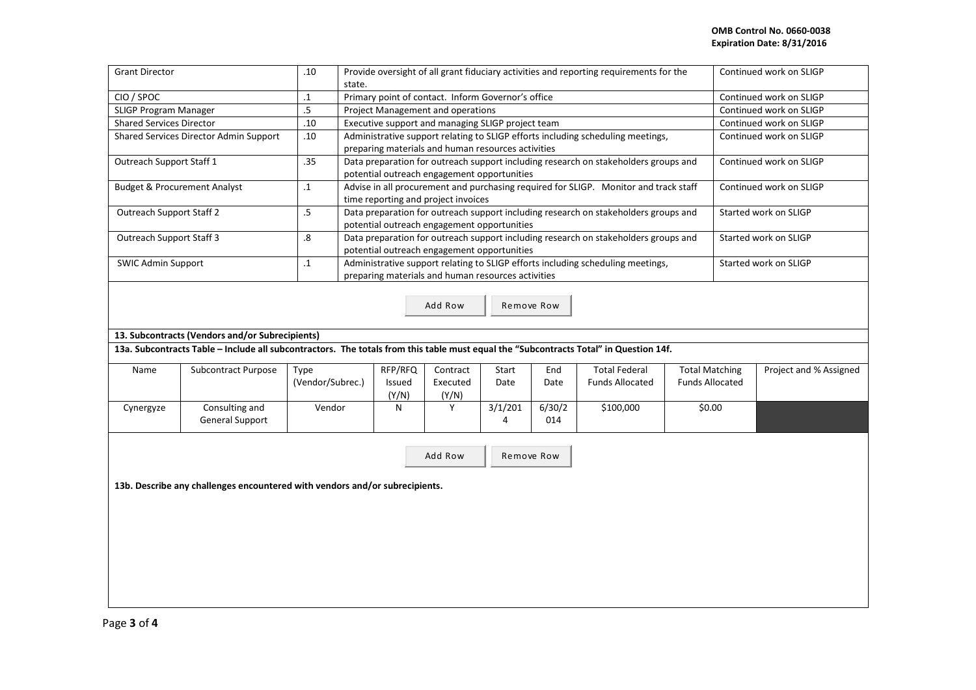| <b>Grant Director</b><br>.10<br>Provide oversight of all grant fiduciary activities and reporting requirements for the |                                                                                                                                       |                                                                                                                                       |                                                                                                                                                             |         |          |         |        |                        | Continued work on SLIGP |                         |                         |
|------------------------------------------------------------------------------------------------------------------------|---------------------------------------------------------------------------------------------------------------------------------------|---------------------------------------------------------------------------------------------------------------------------------------|-------------------------------------------------------------------------------------------------------------------------------------------------------------|---------|----------|---------|--------|------------------------|-------------------------|-------------------------|-------------------------|
|                                                                                                                        |                                                                                                                                       | state.                                                                                                                                |                                                                                                                                                             |         |          |         |        |                        |                         |                         |                         |
| CIO / SPOC                                                                                                             | $\cdot\mathbf{1}$                                                                                                                     | Primary point of contact. Inform Governor's office                                                                                    |                                                                                                                                                             |         |          |         |        |                        | Continued work on SLIGP |                         |                         |
| SLIGP Program Manager                                                                                                  | .5                                                                                                                                    | Project Management and operations                                                                                                     |                                                                                                                                                             |         |          |         |        |                        | Continued work on SLIGP |                         |                         |
| <b>Shared Services Director</b>                                                                                        |                                                                                                                                       | .10                                                                                                                                   | Executive support and managing SLIGP project team                                                                                                           |         |          |         |        |                        | Continued work on SLIGP |                         |                         |
| Shared Services Director Admin Support<br>.10                                                                          |                                                                                                                                       |                                                                                                                                       | Administrative support relating to SLIGP efforts including scheduling meetings,<br>preparing materials and human resources activities                       |         |          |         |        |                        |                         |                         | Continued work on SLIGP |
| Outreach Support Staff 1                                                                                               |                                                                                                                                       | .35                                                                                                                                   | Data preparation for outreach support including research on stakeholders groups and                                                                         |         |          |         |        |                        |                         |                         | Continued work on SLIGP |
|                                                                                                                        |                                                                                                                                       |                                                                                                                                       | potential outreach engagement opportunities                                                                                                                 |         |          |         |        |                        |                         |                         |                         |
| <b>Budget &amp; Procurement Analyst</b>                                                                                | $\cdot$ 1                                                                                                                             | Advise in all procurement and purchasing required for SLIGP. Monitor and track staff<br>time reporting and project invoices           |                                                                                                                                                             |         |          |         |        |                        |                         | Continued work on SLIGP |                         |
| <b>Outreach Support Staff 2</b>                                                                                        |                                                                                                                                       | $.5\,$                                                                                                                                | Data preparation for outreach support including research on stakeholders groups and<br>potential outreach engagement opportunities                          |         |          |         |        |                        |                         |                         | Started work on SLIGP   |
| <b>Outreach Support Staff 3</b>                                                                                        |                                                                                                                                       | $\boldsymbol{8}$                                                                                                                      | Data preparation for outreach support including research on stakeholders groups and<br>Started work on SLIGP<br>potential outreach engagement opportunities |         |          |         |        |                        |                         |                         |                         |
| <b>SWIC Admin Support</b>                                                                                              | $\cdot$ 1                                                                                                                             | Administrative support relating to SLIGP efforts including scheduling meetings,<br>preparing materials and human resources activities |                                                                                                                                                             |         |          |         |        |                        | Started work on SLIGP   |                         |                         |
| Add Row<br>Remove Row                                                                                                  |                                                                                                                                       |                                                                                                                                       |                                                                                                                                                             |         |          |         |        |                        |                         |                         |                         |
|                                                                                                                        | 13. Subcontracts (Vendors and/or Subrecipients)                                                                                       |                                                                                                                                       |                                                                                                                                                             |         |          |         |        |                        |                         |                         |                         |
|                                                                                                                        | 13a. Subcontracts Table - Include all subcontractors. The totals from this table must equal the "Subcontracts Total" in Question 14f. |                                                                                                                                       |                                                                                                                                                             |         |          |         |        |                        |                         |                         |                         |
| Name                                                                                                                   | Subcontract Purpose                                                                                                                   | Type                                                                                                                                  |                                                                                                                                                             | RFP/RFQ | Contract | Start   | End    | <b>Total Federal</b>   |                         | <b>Total Matching</b>   | Project and % Assigned  |
|                                                                                                                        |                                                                                                                                       | (Vendor/Subrec.)                                                                                                                      |                                                                                                                                                             | Issued  | Executed | Date    | Date   | <b>Funds Allocated</b> |                         | <b>Funds Allocated</b>  |                         |
|                                                                                                                        |                                                                                                                                       |                                                                                                                                       |                                                                                                                                                             | (Y/N)   | (Y/N)    |         |        |                        |                         |                         |                         |
| Cynergyze                                                                                                              | Consulting and                                                                                                                        | Vendor                                                                                                                                |                                                                                                                                                             | N       | Y        | 3/1/201 | 6/30/2 | \$100,000              |                         | \$0.00                  |                         |
|                                                                                                                        | <b>General Support</b>                                                                                                                |                                                                                                                                       |                                                                                                                                                             |         |          | 4       | 014    |                        |                         |                         |                         |
|                                                                                                                        |                                                                                                                                       |                                                                                                                                       |                                                                                                                                                             |         |          |         |        |                        |                         |                         |                         |
| Add Row<br>Remove Row                                                                                                  |                                                                                                                                       |                                                                                                                                       |                                                                                                                                                             |         |          |         |        |                        |                         |                         |                         |
|                                                                                                                        |                                                                                                                                       |                                                                                                                                       |                                                                                                                                                             |         |          |         |        |                        |                         |                         |                         |
| 13b. Describe any challenges encountered with vendors and/or subrecipients.                                            |                                                                                                                                       |                                                                                                                                       |                                                                                                                                                             |         |          |         |        |                        |                         |                         |                         |
|                                                                                                                        |                                                                                                                                       |                                                                                                                                       |                                                                                                                                                             |         |          |         |        |                        |                         |                         |                         |
|                                                                                                                        |                                                                                                                                       |                                                                                                                                       |                                                                                                                                                             |         |          |         |        |                        |                         |                         |                         |
|                                                                                                                        |                                                                                                                                       |                                                                                                                                       |                                                                                                                                                             |         |          |         |        |                        |                         |                         |                         |
|                                                                                                                        |                                                                                                                                       |                                                                                                                                       |                                                                                                                                                             |         |          |         |        |                        |                         |                         |                         |
|                                                                                                                        |                                                                                                                                       |                                                                                                                                       |                                                                                                                                                             |         |          |         |        |                        |                         |                         |                         |
|                                                                                                                        |                                                                                                                                       |                                                                                                                                       |                                                                                                                                                             |         |          |         |        |                        |                         |                         |                         |